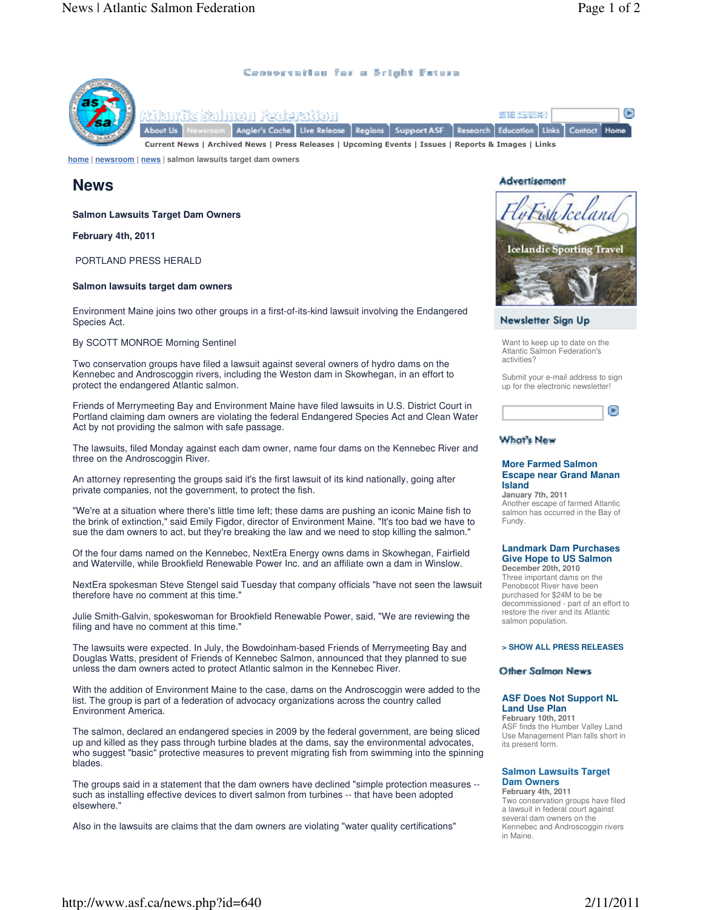**I** 

Home

### Censervatien fer a Bright Fature



Sex le vaitle r

SITE SEVESI-1 Live Release | Regions | Support ASF Research Education Links

Current News | Archived News | Press Releases | Upcoming Events | Issues | Reports & Images | Links

**home | newsroom | news | salmon lawsuits target dam owners**

# **News**

**Salmon Lawsuits Target Dam Owners**

**February 4th, 2011**

PORTLAND PRESS HERALD

### **Salmon lawsuits target dam owners**

Environment Maine joins two other groups in a first-of-its-kind lawsuit involving the Endangered Species Act.

#### By SCOTT MONROE Morning Sentinel

Two conservation groups have filed a lawsuit against several owners of hydro dams on the Kennebec and Androscoggin rivers, including the Weston dam in Skowhegan, in an effort to protect the endangered Atlantic salmon.

Friends of Merrymeeting Bay and Environment Maine have filed lawsuits in U.S. District Court in Portland claiming dam owners are violating the federal Endangered Species Act and Clean Water Act by not providing the salmon with safe passage.

The lawsuits, filed Monday against each dam owner, name four dams on the Kennebec River and three on the Androscoggin River.

An attorney representing the groups said it's the first lawsuit of its kind nationally, going after private companies, not the government, to protect the fish.

"We're at a situation where there's little time left; these dams are pushing an iconic Maine fish to the brink of extinction," said Emily Figdor, director of Environment Maine. "It's too bad we have to sue the dam owners to act, but they're breaking the law and we need to stop killing the salmon."

Of the four dams named on the Kennebec, NextEra Energy owns dams in Skowhegan, Fairfield and Waterville, while Brookfield Renewable Power Inc. and an affiliate own a dam in Winslow.

NextEra spokesman Steve Stengel said Tuesday that company officials "have not seen the lawsuit therefore have no comment at this time."

Julie Smith-Galvin, spokeswoman for Brookfield Renewable Power, said, "We are reviewing the filing and have no comment at this time."

The lawsuits were expected. In July, the Bowdoinham-based Friends of Merrymeeting Bay and Douglas Watts, president of Friends of Kennebec Salmon, announced that they planned to sue unless the dam owners acted to protect Atlantic salmon in the Kennebec River.

With the addition of Environment Maine to the case, dams on the Androscoggin were added to the list. The group is part of a federation of advocacy organizations across the country called Environment America.

The salmon, declared an endangered species in 2009 by the federal government, are being sliced up and killed as they pass through turbine blades at the dams, say the environmental advocates, who suggest "basic" protective measures to prevent migrating fish from swimming into the spinning blades.

The groups said in a statement that the dam owners have declined "simple protection measures - such as installing effective devices to divert salmon from turbines -- that have been adopted elsewhere."

Also in the lawsuits are claims that the dam owners are violating "water quality certifications"

### **Advertisement**



Contact

### Newsletter Sign Up

Want to keep up to date on the Atlantic Salmon Federation's activities?

Submit your e-mail address to sign up for the electronic newsletter!



## **What's New**

#### **More Farmed Salmon Escape near Grand Manan Island**

**January 7th, 2011** Another escape of farmed Atlantic salmon has occurred in the Bay of Fundy.

#### **Landmark Dam Purchases Give Hope to US Salmon**

**December 20th, 2010** Three important dams on the Penobscot River have been purchased for \$24M to be be decommissioned - part of an effort to restore the river and its Atlantic salmon population.

#### **> SHOW ALL PRESS RELEASES**

### Other Salmon News

### **ASF Does Not Support NL Land Use Plan**

**February 10th, 2011** ASF finds the Humber Valley Land Use Management Plan falls short in its present form.

### **Salmon Lawsuits Target Dam Owners**

**February 4th, 2011** Two conservation groups have filed a lawsuit in federal court against several dam owners on the Kennebec and Androscoggin rivers in Maine.